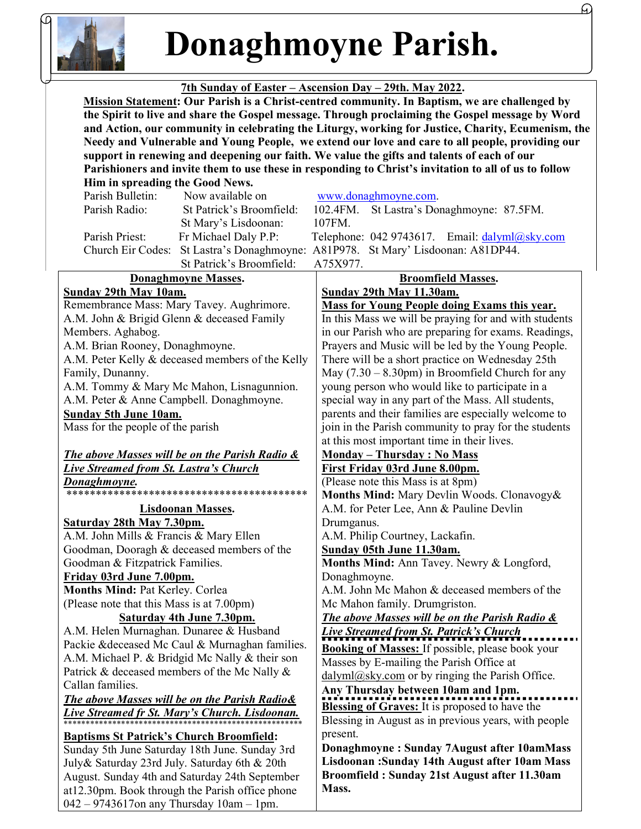

Donaghmoyne Parish.

4.

## 7th Sunday of Easter – Ascension Day – 29th. May 2022.

 Mission Statement: Our Parish is a Christ-centred community. In Baptism, we are challenged by the Spirit to live and share the Gospel message. Through proclaiming the Gospel message by Word and Action, our community in celebrating the Liturgy, working for Justice, Charity, Ecumenism, the Needy and Vulnerable and Young People, we extend our love and care to all people, providing our support in renewing and deepening our faith. We value the gifts and talents of each of our Parishioners and invite them to use these in responding to Christ's invitation to all of us to follow

| Him in spreading the Good News.                          |                          |                                                                    |
|----------------------------------------------------------|--------------------------|--------------------------------------------------------------------|
| Parish Bulletin:                                         | Now available on         | www.donaghmoyne.com.                                               |
| Parish Radio:                                            | St Patrick's Broomfield: | 102.4FM.<br>St Lastra's Donaghmoyne: 87.5FM.                       |
|                                                          | St Mary's Lisdoonan:     | 107FM.                                                             |
| Parish Priest:                                           | Fr Michael Daly P.P:     | Telephone: 042 9743617. Email: dalyml@sky.com                      |
| Church Eir Codes:                                        |                          | St Lastra's Donaghmoyne: A81P978. St Mary' Lisdoonan: A81DP44.     |
|                                                          | St Patrick's Broomfield: | A75X977.                                                           |
| <b>Donaghmoyne Masses.</b>                               |                          | <b>Broomfield Masses.</b>                                          |
| <b>Sunday 29th May 10am.</b>                             |                          | Sunday 29th May 11.30am.                                           |
| Remembrance Mass: Mary Tavey. Aughrimore.                |                          | <b>Mass for Young People doing Exams this year.</b>                |
| A.M. John & Brigid Glenn & deceased Family               |                          | In this Mass we will be praying for and with students              |
| Members. Aghabog.                                        |                          | in our Parish who are preparing for exams. Readings,               |
| A.M. Brian Rooney, Donaghmoyne.                          |                          | Prayers and Music will be led by the Young People.                 |
| A.M. Peter Kelly & deceased members of the Kelly         |                          | There will be a short practice on Wednesday 25th                   |
| Family, Dunanny.                                         |                          | May $(7.30 - 8.30 \text{pm})$ in Broomfield Church for any         |
| A.M. Tommy & Mary Mc Mahon, Lisnagunnion.                |                          | young person who would like to participate in a                    |
| A.M. Peter & Anne Campbell. Donaghmoyne.                 |                          | special way in any part of the Mass. All students,                 |
| Sunday 5th June 10am.                                    |                          | parents and their families are especially welcome to               |
| Mass for the people of the parish                        |                          | join in the Parish community to pray for the students              |
|                                                          |                          | at this most important time in their lives.                        |
| The above Masses will be on the Parish Radio &           |                          | <b>Monday - Thursday: No Mass</b>                                  |
| <b>Live Streamed from St. Lastra's Church</b>            |                          | First Friday 03rd June 8.00pm.                                     |
| Donaghmoyne.                                             |                          | (Please note this Mass is at 8pm)                                  |
|                                                          |                          | Months Mind: Mary Devlin Woods. Clonavogy&                         |
| <b>Lisdoonan Masses.</b>                                 |                          | A.M. for Peter Lee, Ann & Pauline Devlin                           |
| Saturday 28th May 7.30pm.                                |                          | Drumganus.                                                         |
| A.M. John Mills & Francis & Mary Ellen                   |                          | A.M. Philip Courtney, Lackafin.                                    |
| Goodman, Dooragh & deceased members of the               |                          | Sunday 05th June 11.30am.                                          |
| Goodman & Fitzpatrick Families.                          |                          | Months Mind: Ann Tavey. Newry & Longford,                          |
| Friday 03rd June 7.00pm.                                 |                          | Donaghmoyne.                                                       |
| Months Mind: Pat Kerley. Corlea                          |                          | A.M. John Mc Mahon & deceased members of the                       |
| (Please note that this Mass is at 7.00pm)                |                          | Mc Mahon family. Drumgriston.                                      |
| <b>Saturday 4th June 7.30pm.</b>                         |                          | The above Masses will be on the Parish Radio &                     |
| A.M. Helen Murnaghan. Dunaree & Husband                  |                          | Live Streamed from St. Patrick's Church                            |
| Packie & deceased Mc Caul & Murnaghan families.          |                          | <b>Booking of Masses:</b> If possible, please book your            |
| A.M. Michael P. & Bridgid Mc Nally & their son           |                          | Masses by E-mailing the Parish Office at                           |
| Patrick & deceased members of the Mc Nally &             |                          | $\frac{ \text{dalyml}(Q)$ sky.com or by ringing the Parish Office. |
| Callan families.                                         |                          | Any Thursday between 10am and 1pm.                                 |
| <b>The above Masses will be on the Parish Radio&amp;</b> |                          | Blessing of Graves: It is proposed to have the                     |
| Live Streamed fr St. Mary's Church. Lisdoonan.           |                          | Blessing in August as in previous years, with people               |
| <b>Baptisms St Patrick's Church Broomfield:</b>          |                          | present.                                                           |
| Sunday 5th June Saturday 18th June. Sunday 3rd           |                          | Donaghmoyne: Sunday 7August after 10amMass                         |
| July& Saturday 23rd July. Saturday 6th & 20th            |                          | Lisdoonan: Sunday 14th August after 10am Mass                      |
| August. Sunday 4th and Saturday 24th September           |                          | Broomfield: Sunday 21st August after 11.30am                       |
| at12.30pm. Book through the Parish office phone          |                          | Mass.                                                              |

042 – 9743617on any Thursday 10am – 1pm.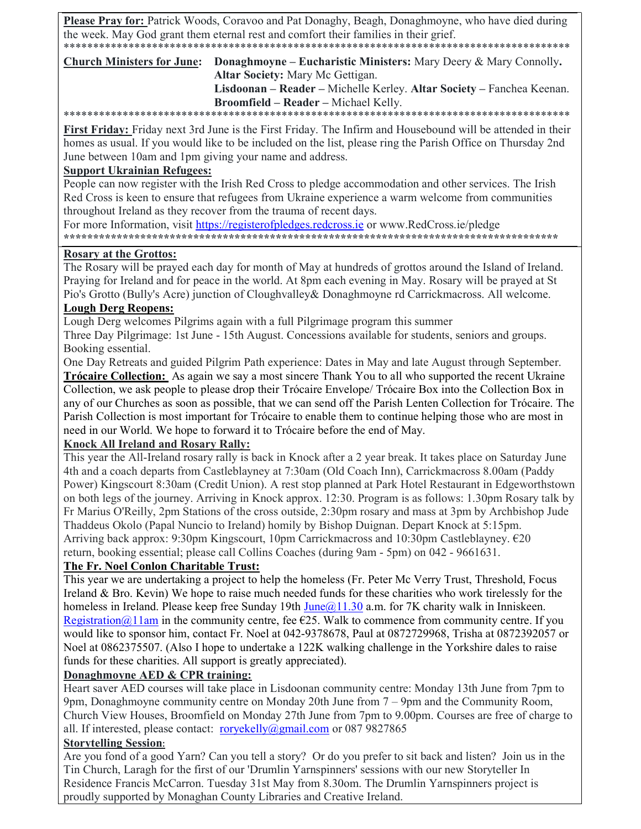Please Pray for: Patrick Woods, Coravoo and Pat Donaghy, Beagh, Donaghmoyne, who have died during the week. May God grant them eternal rest and comfort their families in their grief. 

**Church Ministers for June:** Donaghmoyne – Eucharistic Ministers: Mary Deery & Mary Connolly.

Altar Society: Mary Mc Gettigan.

Lisdoonan – Reader – Michelle Kerley. Altar Society – Fanchea Keenan. Broomfield - Reader - Michael Kelly.

First Friday: Friday next 3rd June is the First Friday. The Infirm and Housebound will be attended in their homes as usual. If you would like to be included on the list, please ring the Parish Office on Thursday 2nd June between 10am and 1pm giving your name and address.

## **Support Ukrainian Refugees:**

People can now register with the Irish Red Cross to pledge accommodation and other services. The Irish Red Cross is keen to ensure that refugees from Ukraine experience a warm welcome from communities throughout Ireland as they recover from the trauma of recent days.

For more Information, visit https://registerofpledges.redcross.ie or www.RedCross.ie/pledge 

#### **Rosary at the Grottos:**

The Rosary will be prayed each day for month of May at hundreds of grottos around the Island of Ireland. Praying for Ireland and for peace in the world. At 8pm each evening in May. Rosary will be prayed at St Pio's Grotto (Bully's Acre) junction of Cloughvalley & Donaghmoyne rd Carrickmacross. All welcome.

#### **Lough Derg Reopens:**

Lough Derg welcomes Pilgrims again with a full Pilgrimage program this summer

Three Day Pilgrimage: 1st June - 15th August. Concessions available for students, seniors and groups. Booking essential.

One Day Retreats and guided Pilgrim Path experience: Dates in May and late August through September. **Trócaire Collection:** As again we say a most sincere Thank You to all who supported the recent Ukraine Collection, we ask people to please drop their Trócaire Envelope/ Trócaire Box into the Collection Box in any of our Churches as soon as possible, that we can send off the Parish Lenten Collection for Trócaire. The Parish Collection is most important for Trócaire to enable them to continue helping those who are most in need in our World. We hope to forward it to Trócaire before the end of May.

### **Knock All Ireland and Rosary Rally:**

This year the All-Ireland rosary rally is back in Knock after a 2 year break. It takes place on Saturday June 4th and a coach departs from Castleblayney at 7:30am (Old Coach Inn), Carrickmacross 8.00am (Paddy Power) Kingscourt 8:30am (Credit Union). A rest stop planned at Park Hotel Restaurant in Edgeworthstown on both legs of the journey. Arriving in Knock approx. 12:30. Program is as follows: 1.30pm Rosary talk by Fr Marius O'Reilly, 2pm Stations of the cross outside, 2:30pm rosary and mass at 3pm by Archbishop Jude Thaddeus Okolo (Papal Nuncio to Ireland) homily by Bishop Duignan. Depart Knock at 5:15pm. Arriving back approx: 9:30pm Kingscourt, 10pm Carrickmacross and 10:30pm Castleblayney.  $\epsilon$ 20 return, booking essential; please call Collins Coaches (during 9am - 5pm) on 042 - 9661631.

### The Fr. Noel Conlon Charitable Trust:

This year we are undertaking a project to help the homeless (Fr. Peter Mc Verry Trust, Threshold, Focus Ireland & Bro. Kevin) We hope to raise much needed funds for these charities who work tirelessly for the homeless in Ireland. Please keep free Sunday 19th  $June@11.30$  a.m. for 7K charity walk in Inniskeen. Registration@11am in the community centre, fee  $E$ 25. Walk to commence from community centre. If you would like to sponsor him, contact Fr. Noel at 042-9378678, Paul at 0872729968, Trisha at 0872392057 or Noel at 0862375507. (Also I hope to undertake a 122K walking challenge in the Yorkshire dales to raise funds for these charities. All support is greatly appreciated).

### Donaghmoyne AED & CPR training:

Heart saver AED courses will take place in Lisdoonan community centre: Monday 13th June from 7pm to 9pm, Donaghmoyne community centre on Monday 20th June from  $7 - 9$ pm and the Community Room, Church View Houses, Broomfield on Monday 27th June from 7pm to 9.00pm. Courses are free of charge to all. If interested, please contact: roryekelly@gmail.com or 087 9827865

## **Storytelling Session:**

Are you fond of a good Yarn? Can you tell a story? Or do you prefer to sit back and listen? Join us in the Tin Church, Laragh for the first of our 'Drumlin Yarnspinners' sessions with our new Storyteller In Residence Francis McCarron. Tuesday 31st May from 8.30om. The Drumlin Yarnspinners project is proudly supported by Monaghan County Libraries and Creative Ireland.